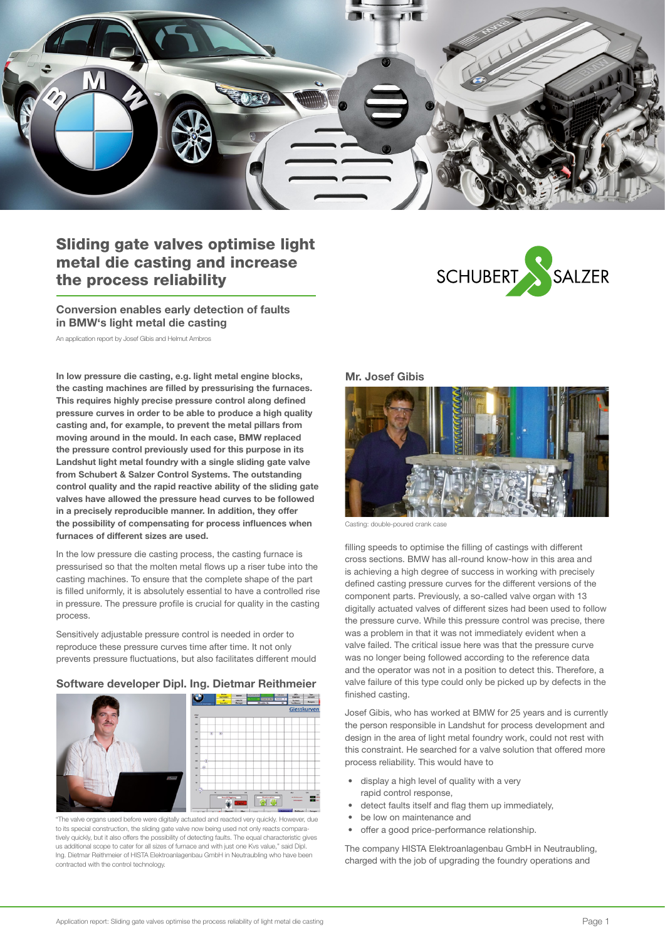

# Sliding gate valves optimise light metal die casting and increase the process reliability

Conversion enables early detection of faults in BMW's light metal die casting

An application report by Josef Gibis and Helmut Ambros

In low pressure die casting, e.g. light metal engine blocks, the casting machines are filled by pressurising the furnaces. This requires highly precise pressure control along defined pressure curves in order to be able to produce a high quality casting and, for example, to prevent the metal pillars from moving around in the mould. In each case, BMW replaced the pressure control previously used for this purpose in its Landshut light metal foundry with a single sliding gate valve from Schubert & Salzer Control Systems. The outstanding control quality and the rapid reactive ability of the sliding gate valves have allowed the pressure head curves to be followed in a precisely reproducible manner. In addition, they offer the possibility of compensating for process influences when furnaces of different sizes are used.

In the low pressure die casting process, the casting furnace is pressurised so that the molten metal flows up a riser tube into the casting machines. To ensure that the complete shape of the part is filled uniformly, it is absolutely essential to have a controlled rise in pressure. The pressure profile is crucial for quality in the casting process.

Sensitively adjustable pressure control is needed in order to reproduce these pressure curves time after time. It not only prevents pressure fluctuations, but also facilitates different mould

#### Software developer Dipl. Ing. Dietmar Reithmeier



"The valve organs used before were digitally actuated and reacted very quickly. However, due to its special construction, the sliding gate valve now being used not only reacts comparatively quickly, but it also offers the possibility of detecting faults. The equal characteristic gives us additional scope to cater for all sizes of furnace and with just one Kvs value," said Dipl. Ing. Dietmar Reithmeier of HISTA Elektroanlagenbau GmbH in Neutraubling who have been contracted with the control technology.

### Mr. Josef Gibis



SCHUBERT

SALZER

Casting: double-poured crank case

filling speeds to optimise the filling of castings with different cross sections. BMW has all-round know-how in this area and is achieving a high degree of success in working with precisely defined casting pressure curves for the different versions of the component parts. Previously, a so-called valve organ with 13 digitally actuated valves of different sizes had been used to follow the pressure curve. While this pressure control was precise, there was a problem in that it was not immediately evident when a valve failed. The critical issue here was that the pressure curve was no longer being followed according to the reference data and the operator was not in a position to detect this. Therefore, a valve failure of this type could only be picked up by defects in the finished casting.

Josef Gibis, who has worked at BMW for 25 years and is currently the person responsible in Landshut for process development and design in the area of light metal foundry work, could not rest with this constraint. He searched for a valve solution that offered more process reliability. This would have to

- display a high level of quality with a very rapid control response,
- detect faults itself and flag them up immediately,
- be low on maintenance and
- offer a good price-performance relationship.

The company HISTA Elektroanlagenbau GmbH in Neutraubling, charged with the job of upgrading the foundry operations and